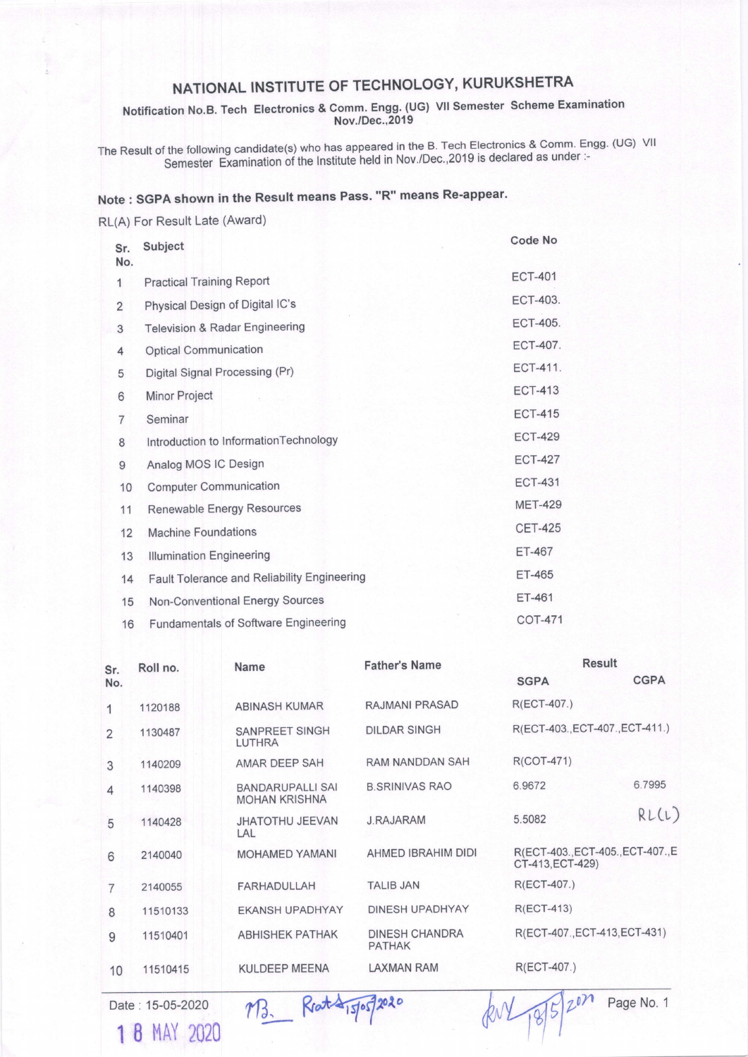## NATIONAL INSTITUTE OF TECHNOLOGY, KURUKSHETRA

Notification No.B. Tech Electronics & Comm. Engg. (UG) VII Semester Scheme Examination Nov./Dec., 2019

The Result of the following candidate(s) who has appeared in the B. Tech Electronics & Comm. Engg. (UG) VII<br>Semester Examination of the Institute held in Nov./Dec.,2019 is declared as under :-

## Note: SGPA shown in the Result means Pass. "R" means Re-appear.

RL(A) For Result Late (Award)

| Sr.<br>No.     | Subject                                     | Code No         |
|----------------|---------------------------------------------|-----------------|
| $\mathbf{1}$   | <b>Practical Training Report</b>            | <b>ECT-401</b>  |
| 2              | Physical Design of Digital IC's             | ECT-403.        |
| 3              | <b>Television &amp; Radar Engineering</b>   | <b>ECT-405.</b> |
| 4              | <b>Optical Communication</b>                | <b>ECT-407.</b> |
| 5              | Digital Signal Processing (Pr)              | <b>ECT-411.</b> |
| 6              | Minor Project                               | <b>ECT-413</b>  |
| $\overline{7}$ | Seminar                                     | <b>ECT-415</b>  |
| 8              | Introduction to InformationTechnology       | <b>ECT-429</b>  |
| 9              | Analog MOS IC Design                        | <b>ECT-427</b>  |
| 10             | <b>Computer Communication</b>               | <b>ECT-431</b>  |
| 11             | Renewable Energy Resources                  | <b>MET-429</b>  |
| 12             | <b>Machine Foundations</b>                  | <b>CET-425</b>  |
| 13             | <b>Illumination Engineering</b>             | <b>ET-467</b>   |
| 14             | Fault Tolerance and Reliability Engineering | <b>ET-465</b>   |
| 15             | Non-Conventional Energy Sources             | <b>ET-461</b>   |
| 16             | Fundamentals of Software Engineering        | <b>COT-471</b>  |

| Sr.<br>No.     | Roll no. | Name                                            | <b>Father's Name</b>                   | <b>Result</b>                                         |             |
|----------------|----------|-------------------------------------------------|----------------------------------------|-------------------------------------------------------|-------------|
|                |          |                                                 |                                        | <b>SGPA</b>                                           | <b>CGPA</b> |
| 1              | 1120188  | <b>ABINASH KUMAR</b>                            | RAJMANI PRASAD                         | R(ECT-407.)                                           |             |
| $\overline{2}$ | 1130487  | <b>SANPREET SINGH</b><br>LUTHRA                 | <b>DILDAR SINGH</b>                    | R(ECT-403., ECT-407., ECT-411.)                       |             |
| 3              | 1140209  | <b>AMAR DEEP SAH</b>                            | <b>RAM NANDDAN SAH</b>                 | R(COT-471)                                            |             |
| 4              | 1140398  | <b>BANDARUPALLI SAI</b><br><b>MOHAN KRISHNA</b> | <b>B.SRINIVAS RAO</b>                  | 6.9672                                                | 6.7995      |
| 5              | 1140428  | <b>JHATOTHU JEEVAN</b><br>LAL                   | <b>J.RAJARAM</b>                       | 5.5082                                                | RL(L)       |
| 6              | 2140040  | <b>MOHAMED YAMANI</b>                           | AHMED IBRAHIM DIDI                     | R(ECT-403., ECT-405., ECT-407., E<br>CT-413, ECT-429) |             |
| $\overline{7}$ | 2140055  | <b>FARHADULLAH</b>                              | <b>TALIB JAN</b>                       | R(ECT-407.)                                           |             |
| 8              | 11510133 | <b>EKANSH UPADHYAY</b>                          | DINESH UPADHYAY                        | $R(ECT-413)$                                          |             |
| 9              | 11510401 | <b>ABHISHEK PATHAK</b>                          | <b>DINESH CHANDRA</b><br><b>PATHAK</b> | R(ECT-407., ECT-413, ECT-431)                         |             |
| 10             | 11510415 | <b>KULDEEP MEENA</b>                            | <b>LAXMAN RAM</b>                      | R(ECT-407.)                                           |             |
|                |          |                                                 |                                        |                                                       |             |

Date: 15-05-2020 1 8 MAY 2020

M3. Reat \$15/05/2020

RN 18/5/2020

Page No. 1